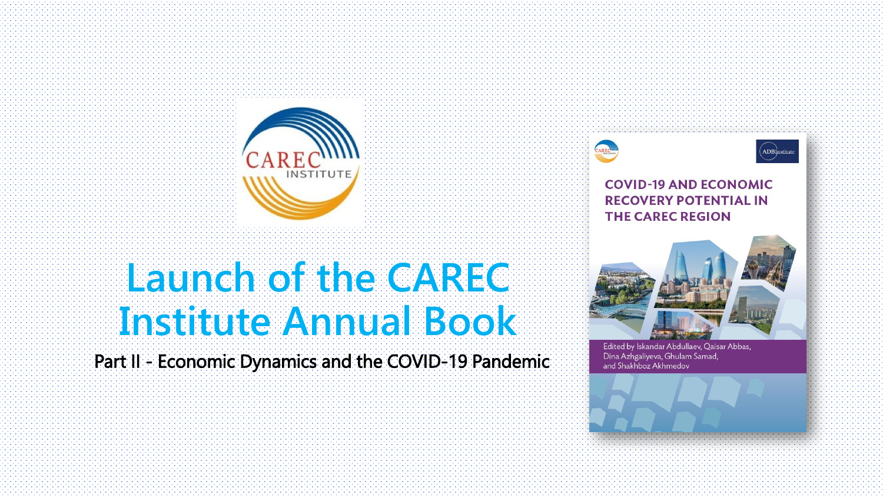

# **Launch of the CAREC Institute Annual Book**

Part II - Economic Dynamics and the COVID-19 Pandemic





#### **COVID-19 AND ECONOMIC RECOVERY POTENTIAL IN THE CAREC REGION**



Edited by Iskandar Abdullaev, Qaisar Abbas, Dina Azhgaliyeva, Ghulam Samad, and Shakhboz Akhmedov

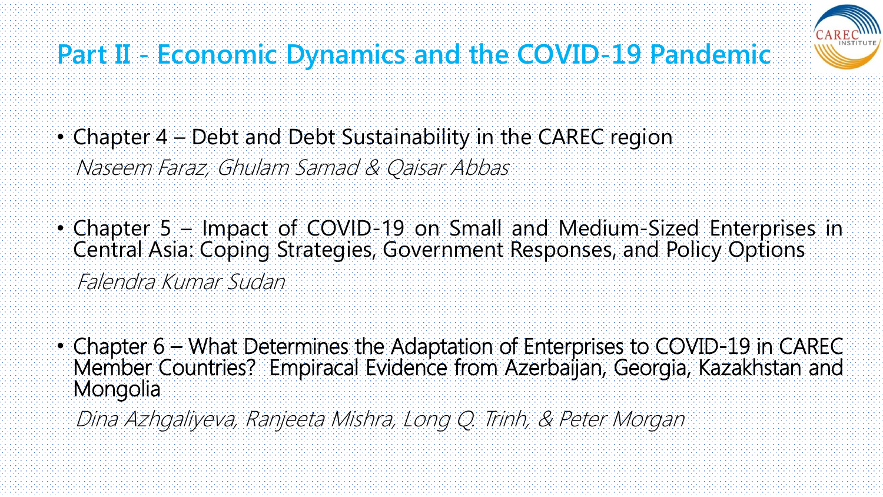

# **Part II - Economic Dynamics and the COVID-19 Pandemic**

- Chapter 4 Debt and Debt Sustainability in the CAREC region Naseem Faraz, Ghulam Samad & Qaisar Abbas
- Chapter 5 Impact of COVID-19 on Small and Medium-Sized Enterprises in Central Asia: Coping Strategies, Government Responses, and Policy Options Falendra Kumar Sudan
- Chapter 6 What Determines the Adaptation of Enterprises to COVID-19 in CAREC Member Countries? Empiracal Evidence from Azerbaijan, Georgia, Kazakhstan and Mongolia
	- Dina Azhgaliyeva, Ranjeeta Mishra, Long Q. Trinh, & Peter Morgan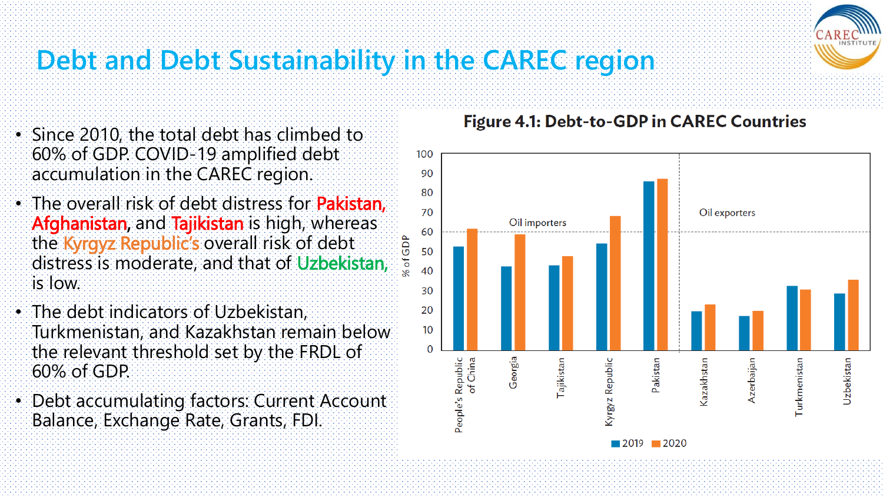## **Debt and Debt Sustainability in the CAREC region**

- Since 2010, the total debt has climbed to 60% of GDP. COVID-19 amplified debt accumulation in the CAREC region.
- The overall risk of debt distress for **Pakistan**, Afghanistan, and Tajikistan is high, whereas the Kyrgyz Republic's overall risk of debt distress is moderate, and that of Uzbekistan, is low.
- The debt indicators of Uzbekistan, Turkmenistan, and Kazakhstan remain below the relevant threshold set by the FRDL of 60% of GDP.
- Debt accumulating factors: Current Account Balance, Exchange Rate, Grants, FDI.

#### **Figure 4.1: Debt-to-GDP in CAREC Countries**



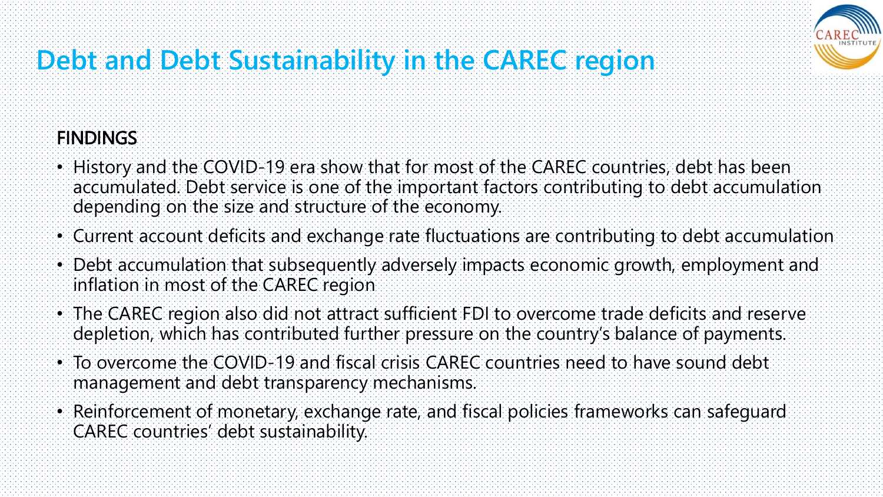

### **Debt and Debt Sustainability in the CAREC region**

#### **FINDINGS**

- History and the COVID-19 era show that for most of the CAREC countries, debt has been accumulated. Debt service is one of the important factors contributing to debt accumulation depending on the size and structure of the economy.
- Current account deficits and exchange rate fluctuations are contributing to debt accumulation
- Debt accumulation that subsequently adversely impacts economic growth, employment and inflation in most of the CAREC region
- The CAREC region also did not attract sufficient FDI to overcome trade deficits and reserve depletion, which has contributed further pressure on the country's balance of payments.
- To overcome the COVID-19 and fiscal crisis CAREC countries need to have sound debt management and debt transparency mechanisms.
- Reinforcement of monetary, exchange rate, and fiscal policies frameworks can safeguard CAREC countries' debt sustainability.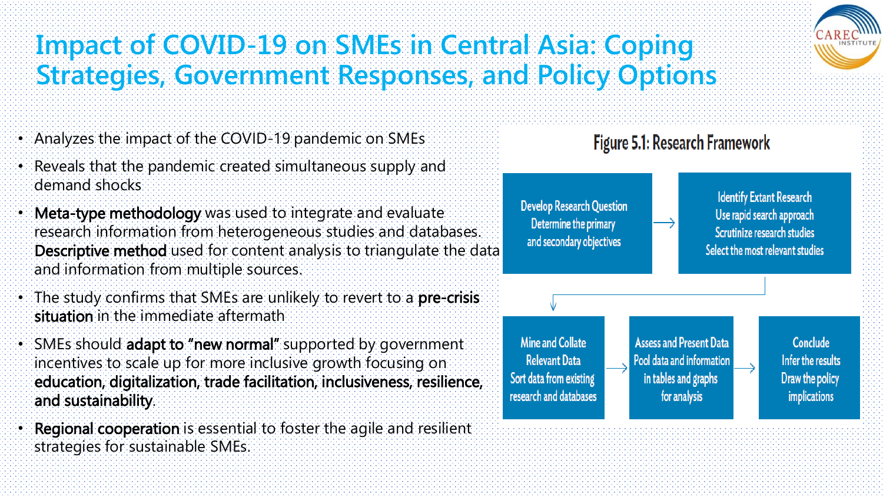

#### **Impact of COVID-19 on SMEs in Central Asia: Coping Strategies, Government Responses, and Policy Options**

- Analyzes the impact of the COVID-19 pandemic on SMEs
- Reveals that the pandemic created simultaneous supply and demand shocks
- Meta-type methodology was used to integrate and evaluate research information from heterogeneous studies and databases. Descriptive method used for content analysis to triangulate the data and information from multiple sources.
- The study confirms that SMEs are unlikely to revert to a pre-crisis situation in the immediate aftermath
- SMEs should adapt to "new normal" supported by government incentives to scale up for more inclusive growth focusing on education, digitalization, trade facilitation, inclusiveness, resilience, and sustainability.
- Regional cooperation is essential to foster the agile and resilient strategies for sustainable SMEs.

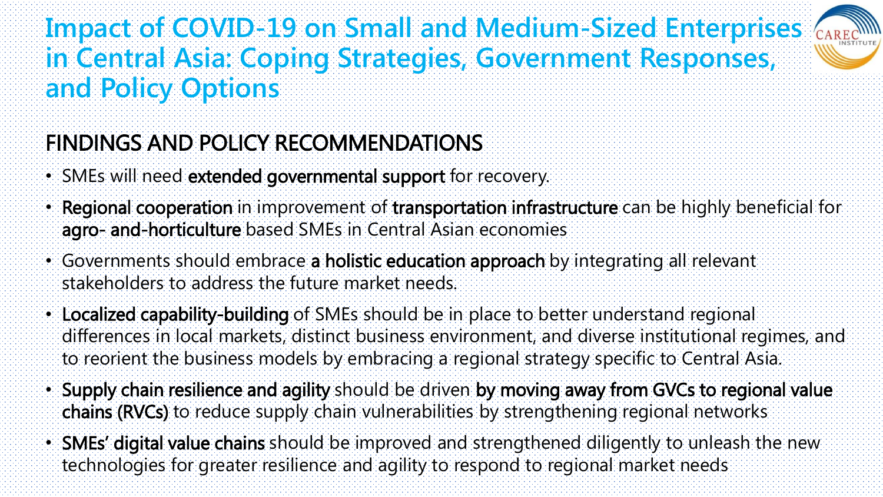#### **Impact of COVID-19 on Small and Medium-Sized Enterprises in Central Asia: Coping Strategies, Government Responses, and Policy Options**



#### FINDINGS AND POLICY RECOMMENDATIONS

- SMEs will need extended governmental support for recovery.
- Regional cooperation in improvement of transportation infrastructure can be highly beneficial for agro- and-horticulture based SMEs in Central Asian economies
- Governments should embrace a holistic education approach by integrating all relevant stakeholders to address the future market needs.
- Localized capability-building of SMEs should be in place to better understand regional differences in local markets, distinct business environment, and diverse institutional regimes, and to reorient the business models by embracing a regional strategy specific to Central Asia.
- Supply chain resilience and agility should be driven by moving away from GVCs to regional value chains (RVCs) to reduce supply chain vulnerabilities by strengthening regional networks
- SMEs' digital value chains should be improved and strengthened diligently to unleash the new technologies for greater resilience and agility to respond to regional market needs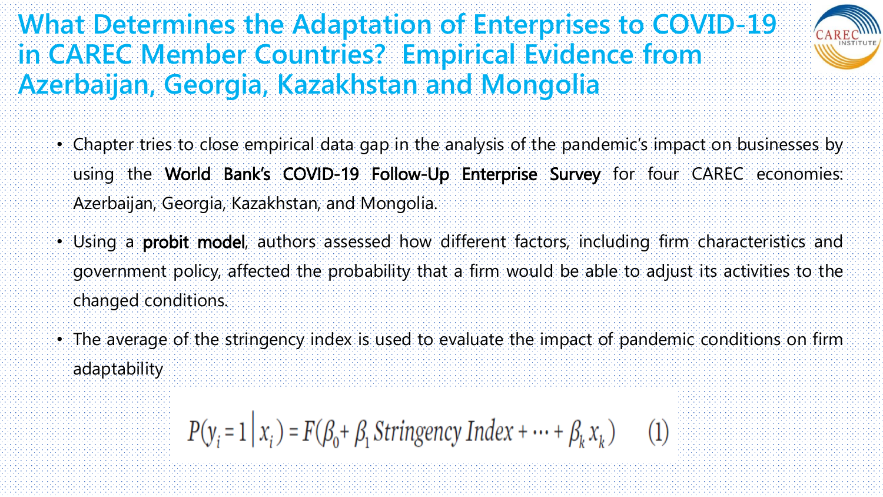#### **What Determines the Adaptation of Enterprises to COVID-19 in CAREC Member Countries? Empirical Evidence from Azerbaijan, Georgia, Kazakhstan and Mongolia**



- Chapter tries to close empirical data gap in the analysis of the pandemic's impact on businesses by using the World Bank's COVID-19 Follow-Up Enterprise Survey for four CAREC economies: Azerbaijan, Georgia, Kazakhstan, and Mongolia.
- Using a probit model, authors assessed how different factors, including firm characteristics and government policy, affected the probability that a firm would be able to adjust its activities to the changed conditions.
- The average of the stringency index is used to evaluate the impact of pandemic conditions on firm adaptability

$$
P(y_i = 1 | x_i) = F(\beta_0 + \beta_1 \text{ Stringency Index} + \dots + \beta_k x_k) \tag{2}
$$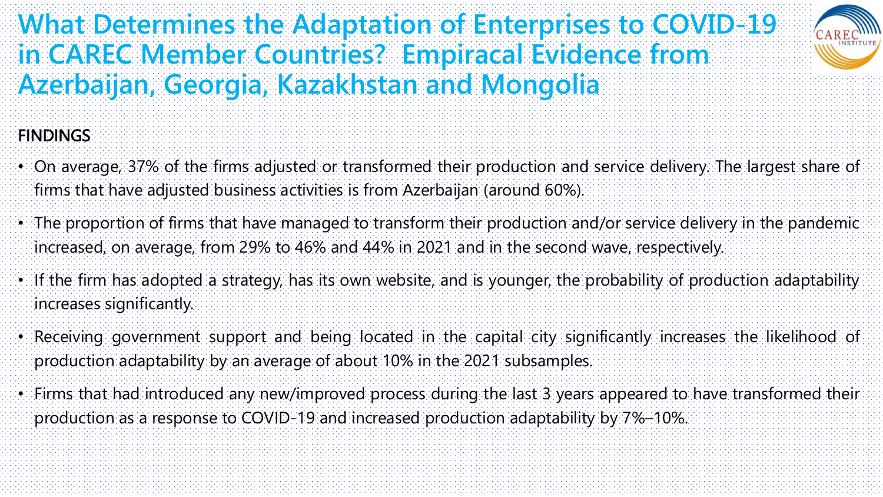#### **What Determines the Adaptation of Enterprises to COVID-19 in CAREC Member Countries? Empiracal Evidence from Azerbaijan, Georgia, Kazakhstan and Mongolia**



#### **FINDINGS**

- On average, 37% of the firms adjusted or transformed their production and service delivery. The largest share of firms that have adjusted business activities is from Azerbaijan (around 60%).
- The proportion of firms that have managed to transform their production and/or service delivery in the pandemic increased, on average, from 29% to 46% and 44% in 2021 and in the second wave, respectively.
- If the firm has adopted a strategy, has its own website, and is younger, the probability of production adaptability increases significantly.
- Receiving government support and being located in the capital city significantly increases the likelihood of production adaptability by an average of about 10% in the 2021 subsamples.
- Firms that had introduced any new/improved process during the last 3 years appeared to have transformed their production as a response to COVID-19 and increased production adaptability by 7%–10%.